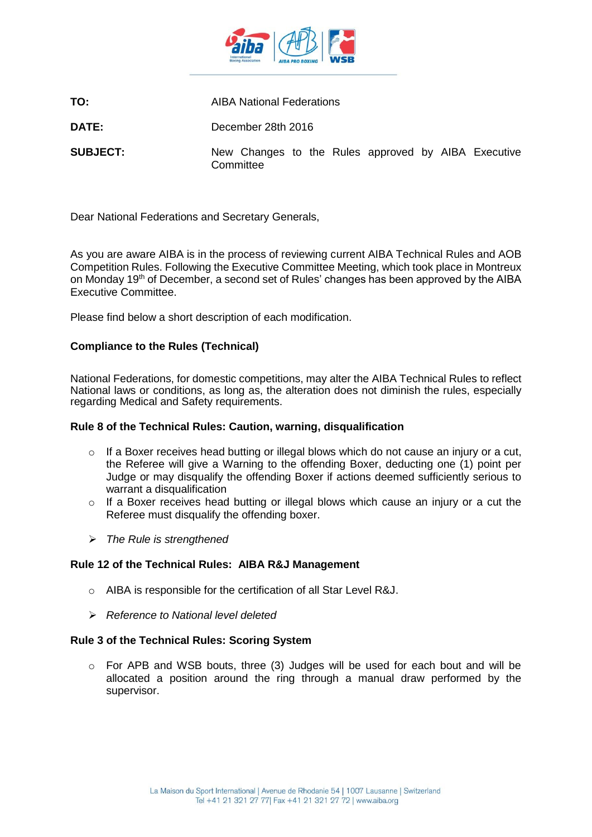

**TO:** AIBA National Federations

**DATE:** December 28th 2016

**SUBJECT:** New Changes to the Rules approved by AIBA Executive **Committee** 

Dear National Federations and Secretary Generals,

As you are aware AIBA is in the process of reviewing current AIBA Technical Rules and AOB Competition Rules. Following the Executive Committee Meeting, which took place in Montreux on Monday 19th of December, a second set of Rules' changes has been approved by the AIBA Executive Committee.

Please find below a short description of each modification.

# **Compliance to the Rules (Technical)**

National Federations, for domestic competitions, may alter the AIBA Technical Rules to reflect National laws or conditions, as long as, the alteration does not diminish the rules, especially regarding Medical and Safety requirements.

## **Rule 8 of the Technical Rules: Caution, warning, disqualification**

- $\circ$  If a Boxer receives head butting or illegal blows which do not cause an injury or a cut, the Referee will give a Warning to the offending Boxer, deducting one (1) point per Judge or may disqualify the offending Boxer if actions deemed sufficiently serious to warrant a disqualification
- o If a Boxer receives head butting or illegal blows which cause an injury or a cut the Referee must disqualify the offending boxer.
- *The Rule is strengthened*

## **Rule 12 of the Technical Rules: AIBA R&J Management**

- o AIBA is responsible for the certification of all Star Level R&J.
- *Reference to National level deleted*

## **Rule 3 of the Technical Rules: Scoring System**

o For APB and WSB bouts, three (3) Judges will be used for each bout and will be allocated a position around the ring through a manual draw performed by the supervisor.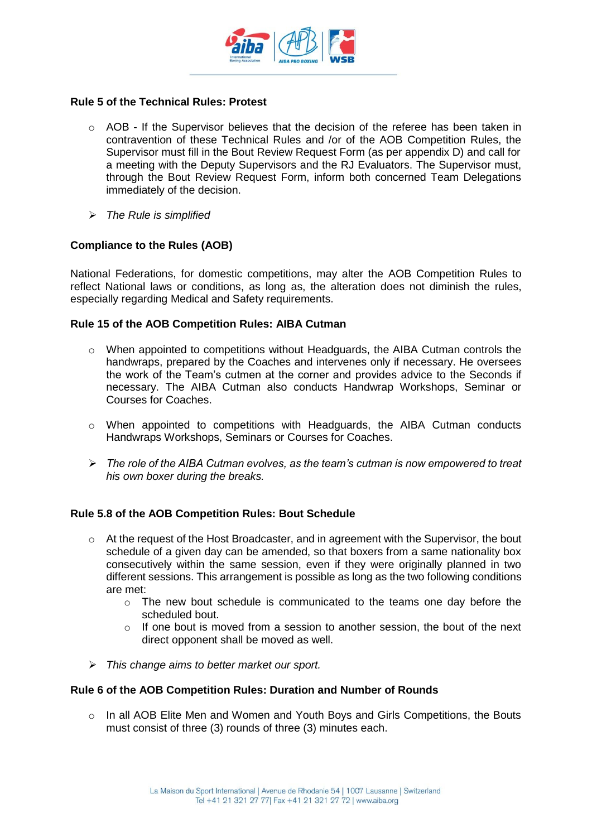

### **Rule 5 of the Technical Rules: Protest**

- $\circ$  AOB If the Supervisor believes that the decision of the referee has been taken in contravention of these Technical Rules and /or of the AOB Competition Rules, the Supervisor must fill in the Bout Review Request Form (as per appendix D) and call for a meeting with the Deputy Supervisors and the RJ Evaluators. The Supervisor must, through the Bout Review Request Form, inform both concerned Team Delegations immediately of the decision.
- *The Rule is simplified*

### **Compliance to the Rules (AOB)**

National Federations, for domestic competitions, may alter the AOB Competition Rules to reflect National laws or conditions, as long as, the alteration does not diminish the rules, especially regarding Medical and Safety requirements.

#### **Rule 15 of the AOB Competition Rules: AIBA Cutman**

- o When appointed to competitions without Headguards, the AIBA Cutman controls the handwraps, prepared by the Coaches and intervenes only if necessary. He oversees the work of the Team's cutmen at the corner and provides advice to the Seconds if necessary. The AIBA Cutman also conducts Handwrap Workshops, Seminar or Courses for Coaches.
- o When appointed to competitions with Headguards, the AIBA Cutman conducts Handwraps Workshops, Seminars or Courses for Coaches.
- *The role of the AIBA Cutman evolves, as the team's cutman is now empowered to treat his own boxer during the breaks.*

## **Rule 5.8 of the AOB Competition Rules: Bout Schedule**

- $\circ$  At the request of the Host Broadcaster, and in agreement with the Supervisor, the bout schedule of a given day can be amended, so that boxers from a same nationality box consecutively within the same session, even if they were originally planned in two different sessions. This arrangement is possible as long as the two following conditions are met:
	- $\circ$  The new bout schedule is communicated to the teams one day before the scheduled bout.
	- $\circ$  If one bout is moved from a session to another session, the bout of the next direct opponent shall be moved as well.
- *This change aims to better market our sport.*

#### **Rule 6 of the AOB Competition Rules: Duration and Number of Rounds**

 $\circ$  In all AOB Elite Men and Women and Youth Boys and Girls Competitions, the Bouts must consist of three (3) rounds of three (3) minutes each.